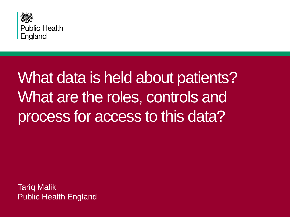

# What data is held about patients? What are the roles, controls and process for access to this data?

Tariq Malik Public Health England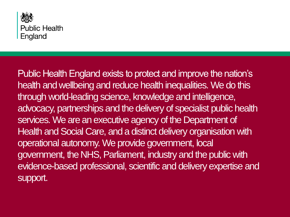

Public Health England exists to protect and improve the nation's health and wellbeing and reduce health inequalities. We do this through world-leading science, knowledge and intelligence, advocacy, partnerships and the delivery of specialist public health services. We are an executive agency of the Department of Health and Social Care, and a distinct delivery organisation with operational autonomy. We provide government, local government, the NHS, Parliament, industry and the public with evidence-based professional, scientific and delivery expertise and support.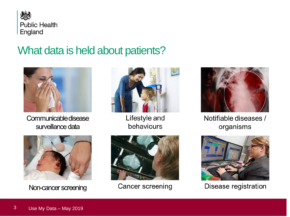



Communicable disease surveillance data



Lifestyle and behaviours



Non-cancer screening



Cancer screening



Notifiable diseases / organisms



Disease registration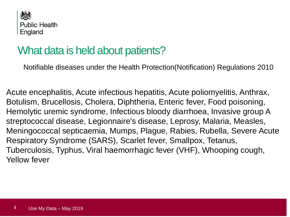

Notifiable diseases under the Health Protection(Notification) Regulations 2010

Acute encephalitis, Acute infectious hepatitis, Acute poliomyelitis, Anthrax, Botulism, Brucellosis, Cholera, Diphtheria, Enteric fever, Food poisoning, Hemolytic uremic syndrome, Infectious bloody diarrhoea, Invasive group A streptococcal disease, Legionnaire's disease, Leprosy, Malaria, Measles, Meningococcal septicaemia, Mumps, Plague, Rabies, Rubella, Severe Acute Respiratory Syndrome (SARS), Scarlet fever, Smallpox, Tetanus, Tuberculosis, Typhus, Viral haemorrhagic fever (VHF), Whooping cough, Yellow fever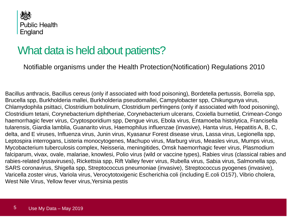

Notifiable organisms under the Health Protection(Notification) Regulations 2010

Bacillus anthracis, Bacillus cereus (only if associated with food poisoning), Bordetella pertussis, Borrelia spp, Brucella spp, Burkholderia mallei, Burkholderia pseudomallei, Campylobacter spp, Chikungunya virus, Chlamydophila psittaci, Clostridium botulinum, Clostridium perfringens (only if associated with food poisoning), Clostridium tetani, Corynebacterium diphtheriae, Corynebacterium ulcerans, Coxiella burnetiid, Crimean-Congo haemorrhagic fever virus, Cryptosporidium spp, Dengue virus, Ebola virus, Entamoeba histolytica, Francisella tularensis, Giardia lamblia, Guanarito virus, Haemophilus influenzae (invasive), Hanta virus, Hepatitis A, B, C, delta, and E viruses, Influenza virus, Junin virus, Kyasanur Forest disease virus, Lassa virus, Legionella spp, Leptospira interrogans, Listeria monocytogenes, Machupo virus, Marburg virus, Measles virus, Mumps virus, Mycobacterium tuberculosis complex, Neisseria, meningitides, Omsk haemorrhagic fever virus, Plasmodium falciparum, vivax, ovale, malariae, knowlesi, Polio virus (wild or vaccine types), Rabies virus (classical rabies and rabies-related lyssaviruses), Rickettsia spp, Rift Valley fever virus, Rubella virus, Sabia virus, Salmonella spp, SARS coronavirus, Shigella spp, Streptococcus pneumoniae (invasive), Streptococcus pyogenes (invasive), Varicella zoster virus, Variola virus, Verocytotoxigenic Escherichia coli (including E.coli O157), Vibrio cholera, West Nile Virus, Yellow fever virus, Yersinia pestis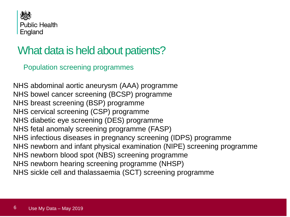

Population screening programmes

NHS abdominal aortic aneurysm (AAA) programme NHS bowel cancer screening (BCSP) programme NHS breast screening (BSP) programme NHS cervical screening (CSP) programme NHS diabetic eye screening (DES) programme NHS fetal anomaly screening programme (FASP) NHS infectious diseases in pregnancy screening (IDPS) programme NHS newborn and infant physical examination (NIPE) screening programme NHS newborn blood spot (NBS) screening programme NHS newborn hearing screening programme (NHSP) NHS sickle cell and thalassaemia (SCT) screening programme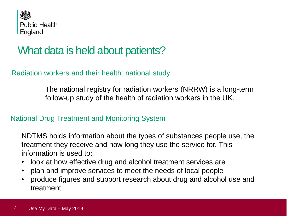

#### Radiation workers and their health: national study

The national registry for radiation workers (NRRW) is a long-term follow-up study of the health of radiation workers in the UK.

#### National Drug Treatment and Monitoring System

NDTMS holds information about the types of substances people use, the treatment they receive and how long they use the service for. This information is used to:

- look at how effective drug and alcohol treatment services are
- plan and improve services to meet the needs of local people
- produce figures and support research about drug and alcohol use and treatment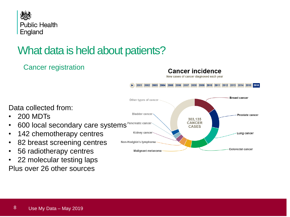

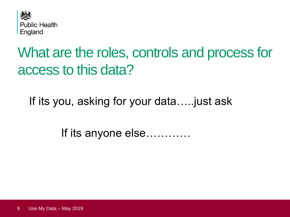

# What are the roles, controls and process for access to this data?

If its you, asking for your data…..just ask

If its anyone else…………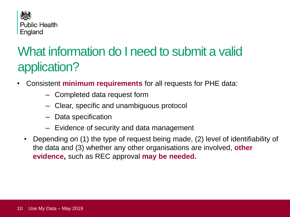

## What information do I need to submit a valid application?

- Consistent **minimum requirements** for all requests for PHE data:
	- Completed data request form
	- Clear, specific and unambiguous protocol
	- Data specification
	- Evidence of security and data management
	- Depending on (1) the type of request being made, (2) level of identifiability of the data and (3) whether any other organisations are involved, **other evidence,** such as REC approval **may be needed.**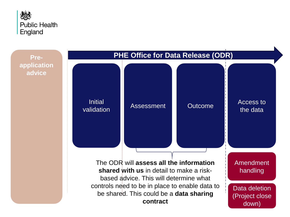

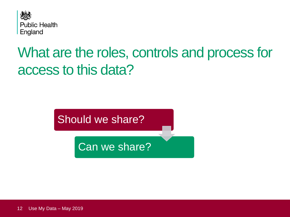

## What are the roles, controls and process for access to this data?

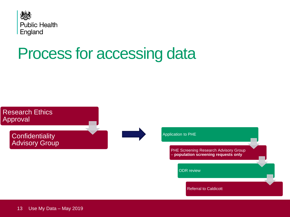

# Process for accessing data

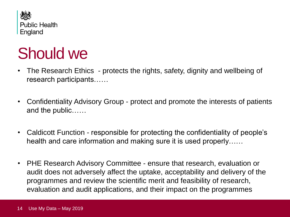

# Should we

- The Research Ethics protects the rights, safety, dignity and wellbeing of research participants……
- Confidentiality Advisory Group protect and promote the interests of patients and the public……
- Caldicott Function responsible for protecting the confidentiality of people's health and care information and making sure it is used properly……
- PHE Research Advisory Committee ensure that research, evaluation or audit does not adversely affect the uptake, acceptability and delivery of the programmes and review the scientific merit and feasibility of research, evaluation and audit applications, and their impact on the programmes